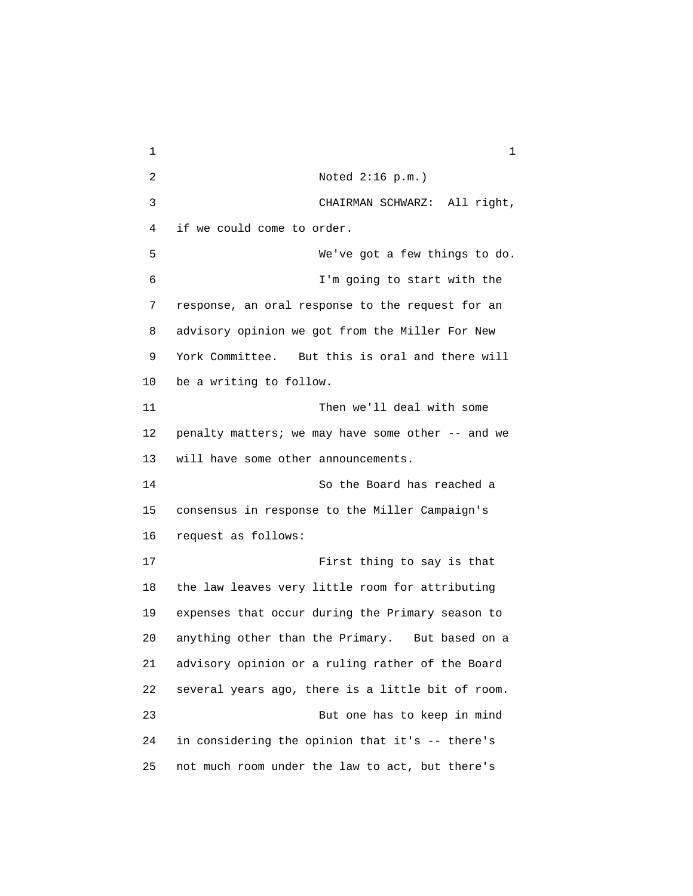$1$  1 2 Noted 2:16 p.m.) 3 CHAIRMAN SCHWARZ: All right, 4 if we could come to order. 5 We've got a few things to do. 6 I'm going to start with the 7 response, an oral response to the request for an 8 advisory opinion we got from the Miller For New 9 York Committee. But this is oral and there will 10 be a writing to follow. 11 Then we'll deal with some 12 penalty matters; we may have some other -- and we 13 will have some other announcements. 14 So the Board has reached a 15 consensus in response to the Miller Campaign's 16 request as follows: 17 First thing to say is that 18 the law leaves very little room for attributing 19 expenses that occur during the Primary season to 20 anything other than the Primary. But based on a 21 advisory opinion or a ruling rather of the Board 22 several years ago, there is a little bit of room. 23 But one has to keep in mind 24 in considering the opinion that it's -- there's 25 not much room under the law to act, but there's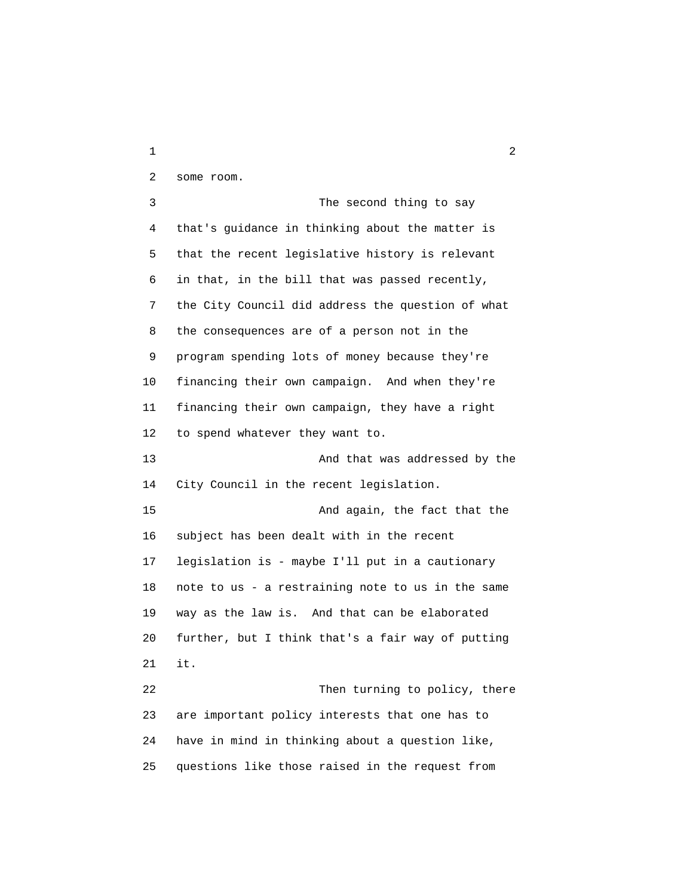2 some room. 3 The second thing to say 4 that's guidance in thinking about the matter is 5 that the recent legislative history is relevant 6 in that, in the bill that was passed recently, 7 the City Council did address the question of what 8 the consequences are of a person not in the 9 program spending lots of money because they're 10 financing their own campaign. And when they're 11 financing their own campaign, they have a right 12 to spend whatever they want to. 13 And that was addressed by the 14 City Council in the recent legislation. 15 And again, the fact that the 16 subject has been dealt with in the recent 17 legislation is - maybe I'll put in a cautionary 18 note to us - a restraining note to us in the same 19 way as the law is. And that can be elaborated 20 further, but I think that's a fair way of putting 21 it. 22 Then turning to policy, there 23 are important policy interests that one has to 24 have in mind in thinking about a question like, 25 questions like those raised in the request from

 $1$  2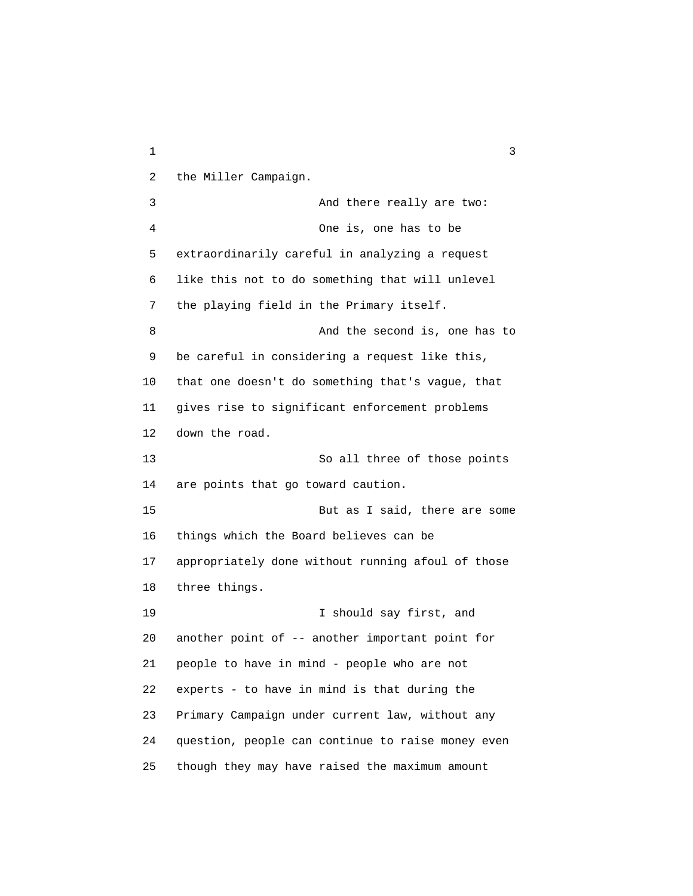$1$  3 2 the Miller Campaign. 3 And there really are two: 4 One is, one has to be 5 extraordinarily careful in analyzing a request 6 like this not to do something that will unlevel 7 the playing field in the Primary itself. 8 And the second is, one has to 9 be careful in considering a request like this, 10 that one doesn't do something that's vague, that 11 gives rise to significant enforcement problems 12 down the road. 13 So all three of those points 14 are points that go toward caution. 15 But as I said, there are some 16 things which the Board believes can be 17 appropriately done without running afoul of those 18 three things. 19 I should say first, and 20 another point of -- another important point for 21 people to have in mind - people who are not 22 experts - to have in mind is that during the 23 Primary Campaign under current law, without any 24 question, people can continue to raise money even 25 though they may have raised the maximum amount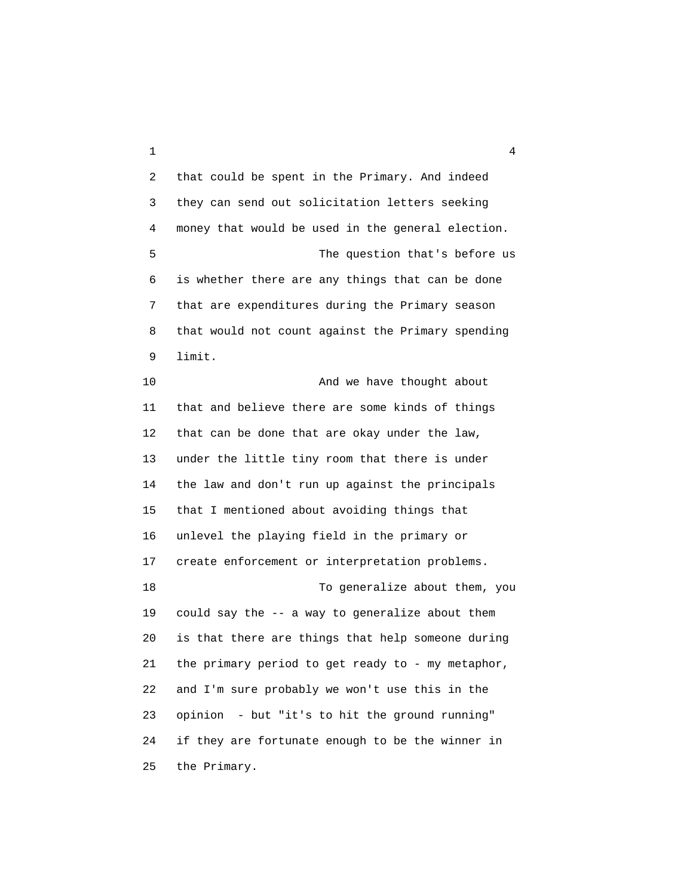$1$  4

 2 that could be spent in the Primary. And indeed 3 they can send out solicitation letters seeking 4 money that would be used in the general election. 5 The question that's before us 6 is whether there are any things that can be done 7 that are expenditures during the Primary season 8 that would not count against the Primary spending 9 limit. 10 And we have thought about

 11 that and believe there are some kinds of things 12 that can be done that are okay under the law, 13 under the little tiny room that there is under 14 the law and don't run up against the principals 15 that I mentioned about avoiding things that 16 unlevel the playing field in the primary or 17 create enforcement or interpretation problems. 18 To generalize about them, you 19 could say the -- a way to generalize about them 20 is that there are things that help someone during 21 the primary period to get ready to - my metaphor, 22 and I'm sure probably we won't use this in the 23 opinion - but "it's to hit the ground running" 24 if they are fortunate enough to be the winner in 25 the Primary.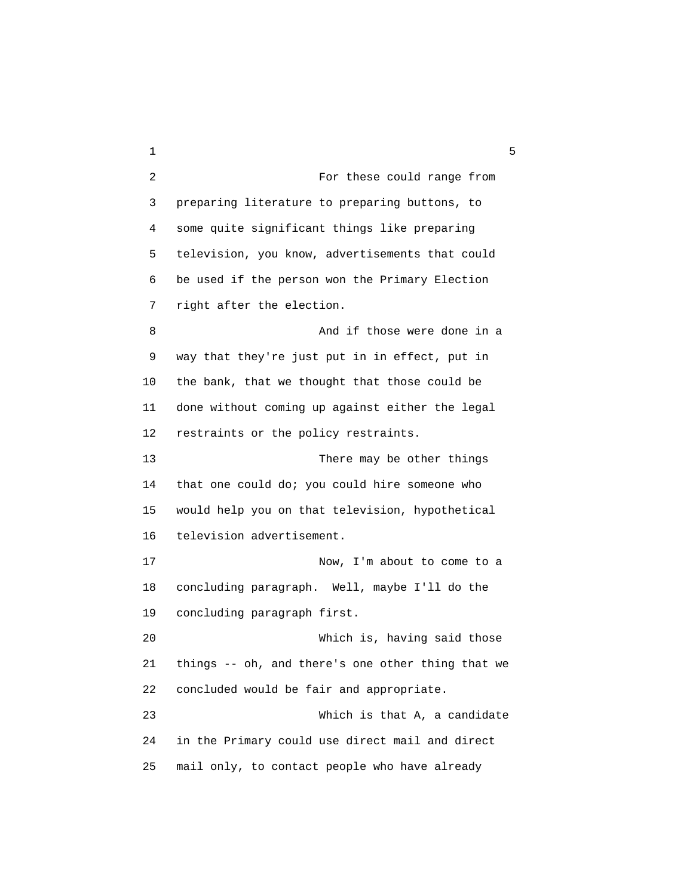$1 \hspace{2.5cm} 5$  2 For these could range from 3 preparing literature to preparing buttons, to 4 some quite significant things like preparing 5 television, you know, advertisements that could 6 be used if the person won the Primary Election 7 right after the election. 8 And if those were done in a 9 way that they're just put in in effect, put in 10 the bank, that we thought that those could be 11 done without coming up against either the legal 12 restraints or the policy restraints. 13 There may be other things 14 that one could do; you could hire someone who 15 would help you on that television, hypothetical 16 television advertisement. 17 Now, I'm about to come to a 18 concluding paragraph. Well, maybe I'll do the 19 concluding paragraph first. 20 Which is, having said those 21 things -- oh, and there's one other thing that we 22 concluded would be fair and appropriate. 23 Which is that A, a candidate 24 in the Primary could use direct mail and direct 25 mail only, to contact people who have already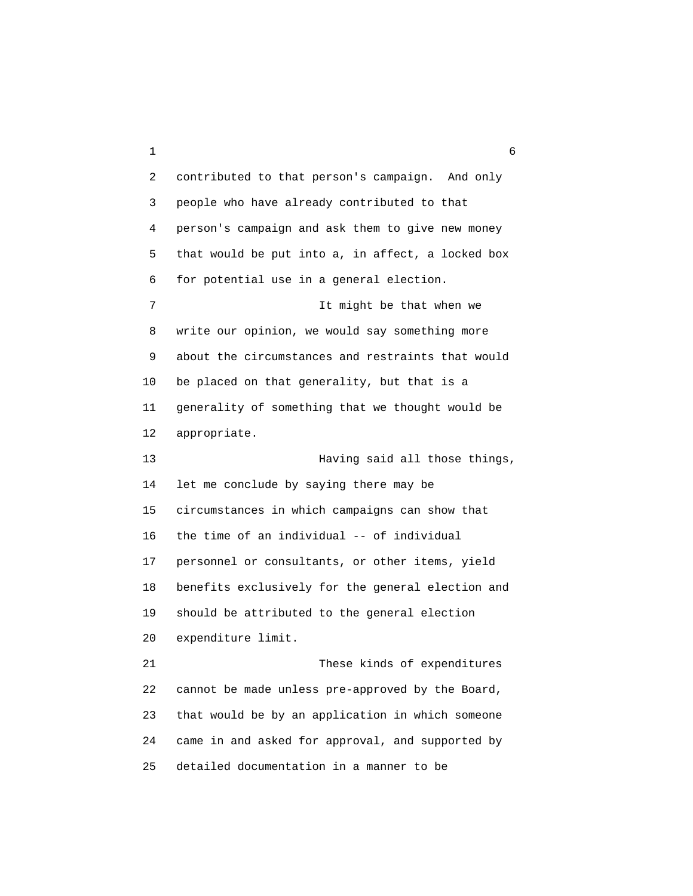$1 \hspace{2.5cm} 6$  2 contributed to that person's campaign. And only 3 people who have already contributed to that 4 person's campaign and ask them to give new money 5 that would be put into a, in affect, a locked box 6 for potential use in a general election. 7 It might be that when we 8 write our opinion, we would say something more 9 about the circumstances and restraints that would 10 be placed on that generality, but that is a 11 generality of something that we thought would be 12 appropriate. 13 Having said all those things, 14 let me conclude by saying there may be 15 circumstances in which campaigns can show that 16 the time of an individual -- of individual 17 personnel or consultants, or other items, yield 18 benefits exclusively for the general election and 19 should be attributed to the general election 20 expenditure limit. 21 These kinds of expenditures 22 cannot be made unless pre-approved by the Board, 23 that would be by an application in which someone 24 came in and asked for approval, and supported by 25 detailed documentation in a manner to be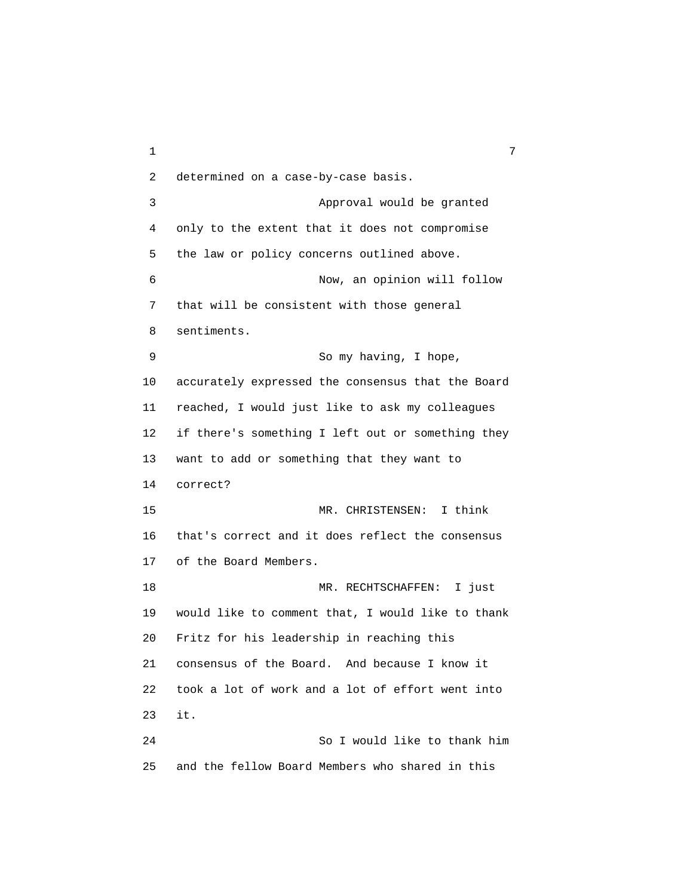$1$  7 2 determined on a case-by-case basis. 3 Approval would be granted 4 only to the extent that it does not compromise 5 the law or policy concerns outlined above. 6 Now, an opinion will follow 7 that will be consistent with those general 8 sentiments. 9 So my having, I hope, 10 accurately expressed the consensus that the Board 11 reached, I would just like to ask my colleagues 12 if there's something I left out or something they 13 want to add or something that they want to 14 correct? 15 MR. CHRISTENSEN: I think 16 that's correct and it does reflect the consensus 17 of the Board Members. 18 MR. RECHTSCHAFFEN: I just 19 would like to comment that, I would like to thank 20 Fritz for his leadership in reaching this 21 consensus of the Board. And because I know it 22 took a lot of work and a lot of effort went into 23 it. 24 So I would like to thank him 25 and the fellow Board Members who shared in this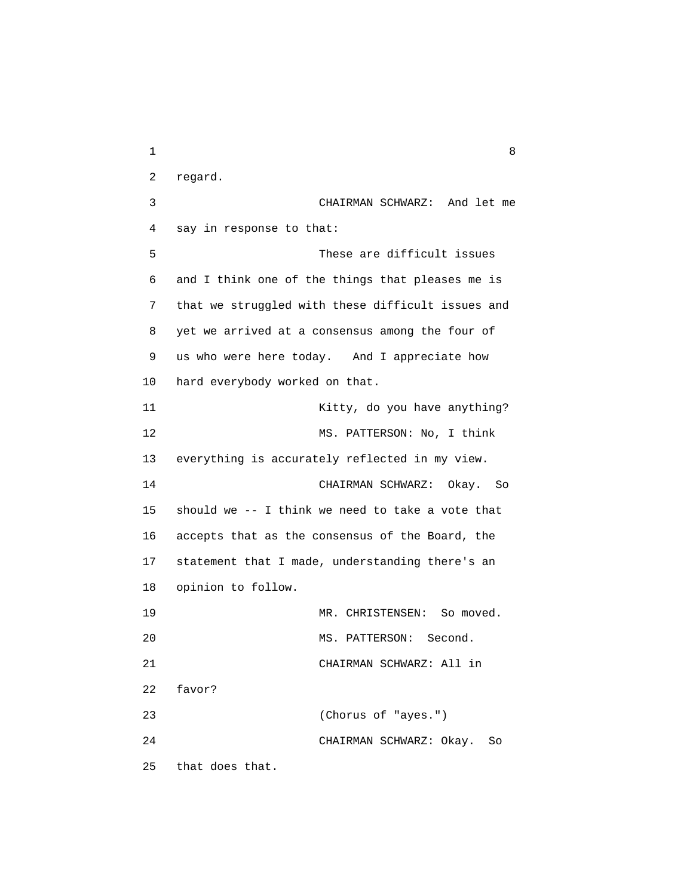$1$  8 2 regard. 3 CHAIRMAN SCHWARZ: And let me 4 say in response to that: 5 These are difficult issues 6 and I think one of the things that pleases me is 7 that we struggled with these difficult issues and 8 yet we arrived at a consensus among the four of 9 us who were here today. And I appreciate how 10 hard everybody worked on that. 11 Kitty, do you have anything? 12 MS. PATTERSON: No, I think 13 everything is accurately reflected in my view. 14 CHAIRMAN SCHWARZ: Okay. So 15 should we -- I think we need to take a vote that 16 accepts that as the consensus of the Board, the 17 statement that I made, understanding there's an 18 opinion to follow. 19 MR. CHRISTENSEN: So moved. 20 MS. PATTERSON: Second. 21 CHAIRMAN SCHWARZ: All in 22 favor? 23 (Chorus of "ayes.") 24 CHAIRMAN SCHWARZ: Okay. So 25 that does that.